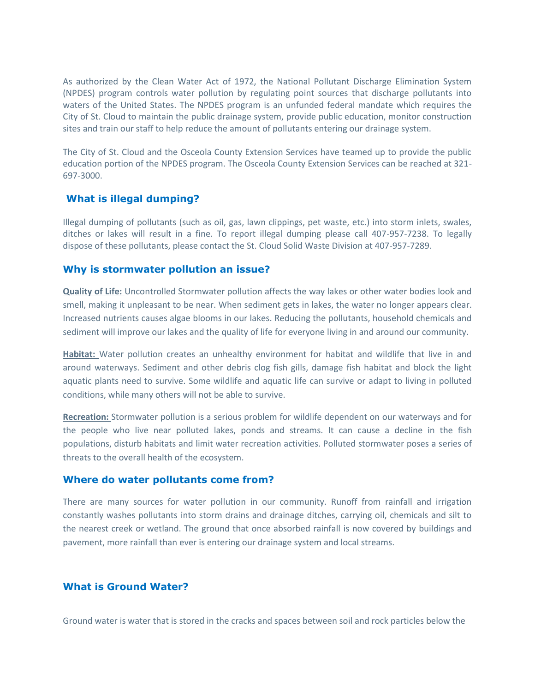As authorized by the Clean Water Act of 1972, the National Pollutant Discharge Elimination System (NPDES) program controls water pollution by regulating point sources that discharge pollutants into waters of the United States. The NPDES program is an unfunded federal mandate which requires the City of St. Cloud to maintain the public drainage system, provide public education, monitor construction sites and train our staff to help reduce the amount of pollutants entering our drainage system.

The City of St. Cloud and the Osceola County Extension Services have teamed up to provide the public education portion of the NPDES program. The Osceola County Extension Services can be reached at 321- 697-3000.

## **What is illegal dumping?**

Illegal dumping of pollutants (such as oil, gas, lawn clippings, pet waste, etc.) into storm inlets, swales, ditches or lakes will result in a fine. To report illegal dumping please call 407-957-7238. To legally dispose of these pollutants, please contact the St. Cloud Solid Waste Division at 407-957-7289.

## **Why is stormwater pollution an issue?**

**Quality of Life:** Uncontrolled Stormwater pollution affects the way lakes or other water bodies look and smell, making it unpleasant to be near. When sediment gets in lakes, the water no longer appears clear. Increased nutrients causes algae blooms in our lakes. Reducing the pollutants, household chemicals and sediment will improve our lakes and the quality of life for everyone living in and around our community.

**Habitat:** Water pollution creates an unhealthy environment for habitat and wildlife that live in and around waterways. Sediment and other debris clog fish gills, damage fish habitat and block the light aquatic plants need to survive. Some wildlife and aquatic life can survive or adapt to living in polluted conditions, while many others will not be able to survive.

**Recreation:** Stormwater pollution is a serious problem for wildlife dependent on our waterways and for the people who live near polluted lakes, ponds and streams. It can cause a decline in the fish populations, disturb habitats and limit water recreation activities. Polluted stormwater poses a series of threats to the overall health of the ecosystem.

## **Where do water pollutants come from?**

There are many sources for water pollution in our community. Runoff from rainfall and irrigation constantly washes pollutants into storm drains and drainage ditches, carrying oil, chemicals and silt to the nearest creek or wetland. The ground that once absorbed rainfall is now covered by buildings and pavement, more rainfall than ever is entering our drainage system and local streams.

## **What is Ground Water?**

Ground water is water that is stored in the cracks and spaces between soil and rock particles below the